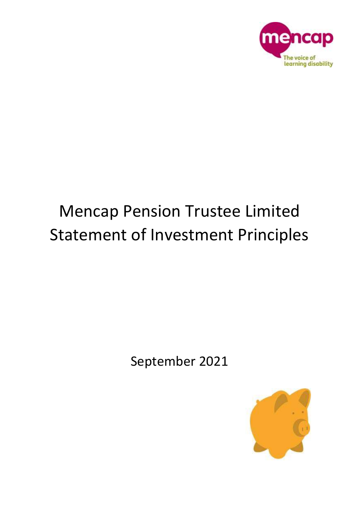

# Mencap Pension Trustee Limited Statement of Investment Principles

September 2021

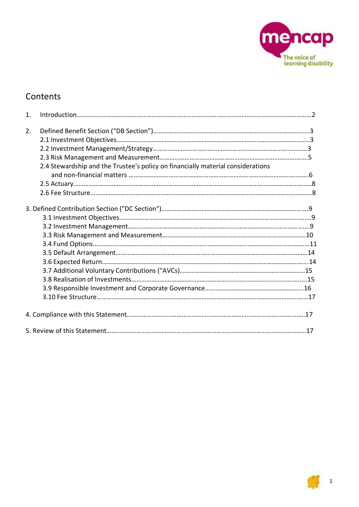

# **Contents**

| 1. |                                                                                 |  |
|----|---------------------------------------------------------------------------------|--|
|    |                                                                                 |  |
| 2. |                                                                                 |  |
|    |                                                                                 |  |
|    |                                                                                 |  |
|    |                                                                                 |  |
|    | 2.4 Stewardship and the Trustee's policy on financially material considerations |  |
|    |                                                                                 |  |
|    |                                                                                 |  |
|    |                                                                                 |  |
|    |                                                                                 |  |
|    |                                                                                 |  |
|    |                                                                                 |  |
|    |                                                                                 |  |
|    |                                                                                 |  |
|    |                                                                                 |  |
|    |                                                                                 |  |
|    |                                                                                 |  |
|    |                                                                                 |  |
|    |                                                                                 |  |
|    |                                                                                 |  |
|    |                                                                                 |  |
|    |                                                                                 |  |
|    |                                                                                 |  |
|    |                                                                                 |  |

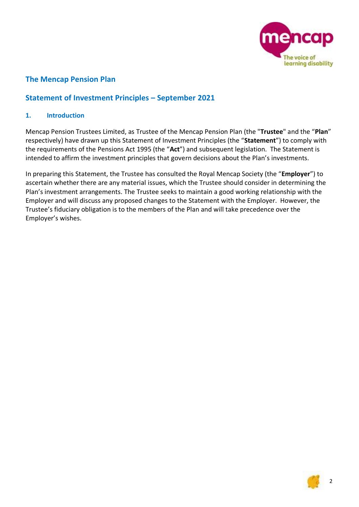

# **The Mencap Pension Plan**

# **Statement of Investment Principles – September 2021**

# **1. Introduction**

Mencap Pension Trustees Limited, as Trustee of the Mencap Pension Plan (the "**Trustee**" and the "**Plan**" respectively) have drawn up this Statement of Investment Principles (the "**Statement**") to comply with the requirements of the Pensions Act 1995 (the "**Act**") and subsequent legislation. The Statement is intended to affirm the investment principles that govern decisions about the Plan's investments.

In preparing this Statement, the Trustee has consulted the Royal Mencap Society (the "**Employer**") to ascertain whether there are any material issues, which the Trustee should consider in determining the Plan's investment arrangements. The Trustee seeks to maintain a good working relationship with the Employer and will discuss any proposed changes to the Statement with the Employer. However, the Trustee's fiduciary obligation is to the members of the Plan and will take precedence over the Employer's wishes.

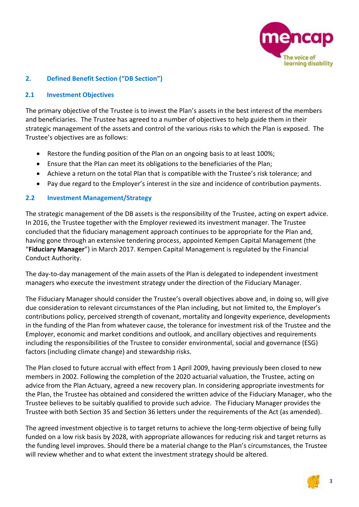

# **2. Defined Benefit Section ("DB Section")**

## **2.1 Investment Objectives**

The primary objective of the Trustee is to invest the Plan's assets in the best interest of the members and beneficiaries. The Trustee has agreed to a number of objectives to help guide them in their strategic management of the assets and control of the various risks to which the Plan is exposed. The Trustee's objectives are as follows:

- Restore the funding position of the Plan on an ongoing basis to at least 100%;
- Ensure that the Plan can meet its obligations to the beneficiaries of the Plan;
- Achieve a return on the total Plan that is compatible with the Trustee's risk tolerance; and
- Pay due regard to the Employer's interest in the size and incidence of contribution payments.

# **2.2 Investment Management/Strategy**

The strategic management of the DB assets is the responsibility of the Trustee, acting on expert advice. In 2016, the Trustee together with the Employer reviewed its investment manager. The Trustee concluded that the fiduciary management approach continues to be appropriate for the Plan and, having gone through an extensive tendering process, appointed Kempen Capital Management (the "**Fiduciary Manager**") in March 2017. Kempen Capital Management is regulated by the Financial Conduct Authority.

The day-to-day management of the main assets of the Plan is delegated to independent investment managers who execute the investment strategy under the direction of the Fiduciary Manager.

The Fiduciary Manager should consider the Trustee's overall objectives above and, in doing so, will give due consideration to relevant circumstances of the Plan including, but not limited to, the Employer's contributions policy, perceived strength of covenant, mortality and longevity experience, developments in the funding of the Plan from whatever cause, the tolerance for investment risk of the Trustee and the Employer, economic and market conditions and outlook, and ancillary objectives and requirements including the responsibilities of the Trustee to consider environmental, social and governance (ESG) factors (including climate change) and stewardship risks.

The Plan closed to future accrual with effect from 1 April 2009, having previously been closed to new members in 2002. Following the completion of the 2020 actuarial valuation, the Trustee, acting on advice from the Plan Actuary, agreed a new recovery plan. In considering appropriate investments for the Plan, the Trustee has obtained and considered the written advice of the Fiduciary Manager, who the Trustee believes to be suitably qualified to provide such advice. The Fiduciary Manager provides the Trustee with both Section 35 and Section 36 letters under the requirements of the Act (as amended).

The agreed investment objective is to target returns to achieve the long-term objective of being fully funded on a low risk basis by 2028, with appropriate allowances for reducing risk and target returns as the funding level improves. Should there be a material change to the Plan's circumstances, the Trustee will review whether and to what extent the investment strategy should be altered.

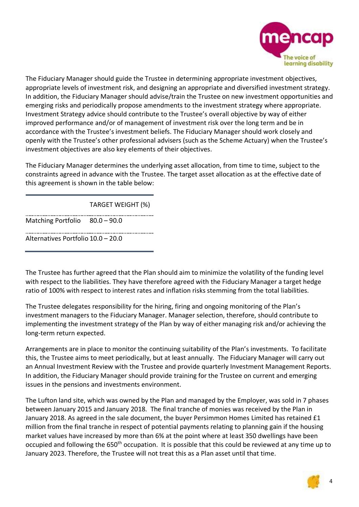

The Fiduciary Manager should guide the Trustee in determining appropriate investment objectives, appropriate levels of investment risk, and designing an appropriate and diversified investment strategy. In addition, the Fiduciary Manager should advise/train the Trustee on new investment opportunities and emerging risks and periodically propose amendments to the investment strategy where appropriate. Investment Strategy advice should contribute to the Trustee's overall objective by way of either improved performance and/or of management of investment risk over the long term and be in accordance with the Trustee's investment beliefs. The Fiduciary Manager should work closely and openly with the Trustee's other professional advisers (such as the Scheme Actuary) when the Trustee's investment objectives are also key elements of their objectives.

The Fiduciary Manager determines the underlying asset allocation, from time to time, subject to the constraints agreed in advance with the Trustee. The target asset allocation as at the effective date of this agreement is shown in the table below:

TARGET WEIGHT (%)

Matching Portfolio 80.0 – 90.0

Alternatives Portfolio 10.0 – 20.0

The Trustee has further agreed that the Plan should aim to minimize the volatility of the funding level with respect to the liabilities. They have therefore agreed with the Fiduciary Manager a target hedge ratio of 100% with respect to interest rates and inflation risks stemming from the total liabilities.

The Trustee delegates responsibility for the hiring, firing and ongoing monitoring of the Plan's investment managers to the Fiduciary Manager. Manager selection, therefore, should contribute to implementing the investment strategy of the Plan by way of either managing risk and/or achieving the long-term return expected.

Arrangements are in place to monitor the continuing suitability of the Plan's investments. To facilitate this, the Trustee aims to meet periodically, but at least annually. The Fiduciary Manager will carry out an Annual Investment Review with the Trustee and provide quarterly Investment Management Reports. In addition, the Fiduciary Manager should provide training for the Trustee on current and emerging issues in the pensions and investments environment.

The Lufton land site, which was owned by the Plan and managed by the Employer, was sold in 7 phases between January 2015 and January 2018. The final tranche of monies was received by the Plan in January 2018. As agreed in the sale document, the buyer Persimmon Homes Limited has retained £1 million from the final tranche in respect of potential payments relating to planning gain if the housing market values have increased by more than 6% at the point where at least 350 dwellings have been occupied and following the 650<sup>th</sup> occupation. It is possible that this could be reviewed at any time up to January 2023. Therefore, the Trustee will not treat this as a Plan asset until that time.

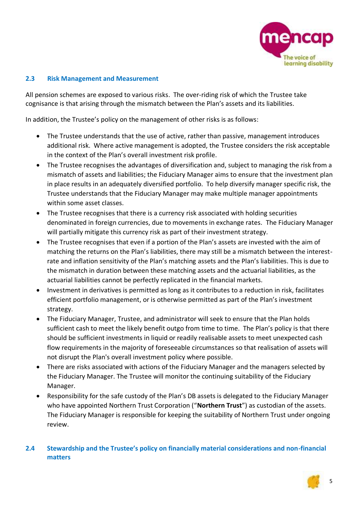

# **2.3 Risk Management and Measurement**

All pension schemes are exposed to various risks. The over-riding risk of which the Trustee take cognisance is that arising through the mismatch between the Plan's assets and its liabilities.

In addition, the Trustee's policy on the management of other risks is as follows:

- The Trustee understands that the use of active, rather than passive, management introduces additional risk. Where active management is adopted, the Trustee considers the risk acceptable in the context of the Plan's overall investment risk profile.
- The Trustee recognises the advantages of diversification and, subject to managing the risk from a mismatch of assets and liabilities; the Fiduciary Manager aims to ensure that the investment plan in place results in an adequately diversified portfolio. To help diversify manager specific risk, the Trustee understands that the Fiduciary Manager may make multiple manager appointments within some asset classes.
- The Trustee recognises that there is a currency risk associated with holding securities denominated in foreign currencies, due to movements in exchange rates. The Fiduciary Manager will partially mitigate this currency risk as part of their investment strategy.
- The Trustee recognises that even if a portion of the Plan's assets are invested with the aim of matching the returns on the Plan's liabilities, there may still be a mismatch between the interestrate and inflation sensitivity of the Plan's matching assets and the Plan's liabilities. This is due to the mismatch in duration between these matching assets and the actuarial liabilities, as the actuarial liabilities cannot be perfectly replicated in the financial markets.
- Investment in derivatives is permitted as long as it contributes to a reduction in risk, facilitates efficient portfolio management, or is otherwise permitted as part of the Plan's investment strategy.
- The Fiduciary Manager, Trustee, and administrator will seek to ensure that the Plan holds sufficient cash to meet the likely benefit outgo from time to time. The Plan's policy is that there should be sufficient investments in liquid or readily realisable assets to meet unexpected cash flow requirements in the majority of foreseeable circumstances so that realisation of assets will not disrupt the Plan's overall investment policy where possible.
- There are risks associated with actions of the Fiduciary Manager and the managers selected by the Fiduciary Manager. The Trustee will monitor the continuing suitability of the Fiduciary Manager.
- Responsibility for the safe custody of the Plan's DB assets is delegated to the Fiduciary Manager who have appointed Northern Trust Corporation ("**Northern Trust**") as custodian of the assets. The Fiduciary Manager is responsible for keeping the suitability of Northern Trust under ongoing review.

# **2.4 Stewardship and the Trustee's policy on financially material considerations and non-financial matters**

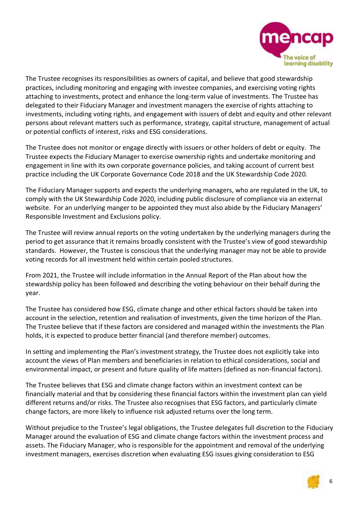

The Trustee recognises its responsibilities as owners of capital, and believe that good stewardship practices, including monitoring and engaging with investee companies, and exercising voting rights attaching to investments, protect and enhance the long-term value of investments. The Trustee has delegated to their Fiduciary Manager and investment managers the exercise of rights attaching to investments, including voting rights, and engagement with issuers of debt and equity and other relevant persons about relevant matters such as performance, strategy, capital structure, management of actual or potential conflicts of interest, risks and ESG considerations.

The Trustee does not monitor or engage directly with issuers or other holders of debt or equity. The Trustee expects the Fiduciary Manager to exercise ownership rights and undertake monitoring and engagement in line with its own corporate governance policies, and taking account of current best practice including the UK Corporate Governance Code 2018 and the UK Stewardship Code 2020.

The Fiduciary Manager supports and expects the underlying managers, who are regulated in the UK, to comply with the UK Stewardship Code 2020, including public disclosure of compliance via an external website. For an underlying manger to be appointed they must also abide by the Fiduciary Managers' Responsible Investment and Exclusions policy.

The Trustee will review annual reports on the voting undertaken by the underlying managers during the period to get assurance that it remains broadly consistent with the Trustee's view of good stewardship standards. However, the Trustee is conscious that the underlying manager may not be able to provide voting records for all investment held within certain pooled structures.

From 2021, the Trustee will include information in the Annual Report of the Plan about how the stewardship policy has been followed and describing the voting behaviour on their behalf during the year.

The Trustee has considered how ESG, climate change and other ethical factors should be taken into account in the selection, retention and realisation of investments, given the time horizon of the Plan. The Trustee believe that if these factors are considered and managed within the investments the Plan holds, it is expected to produce better financial (and therefore member) outcomes.

In setting and implementing the Plan's investment strategy, the Trustee does not explicitly take into account the views of Plan members and beneficiaries in relation to ethical considerations, social and environmental impact, or present and future quality of life matters (defined as non-financial factors).

The Trustee believes that ESG and climate change factors within an investment context can be financially material and that by considering these financial factors within the investment plan can yield different returns and/or risks. The Trustee also recognises that ESG factors, and particularly climate change factors, are more likely to influence risk adjusted returns over the long term.

Without prejudice to the Trustee's legal obligations, the Trustee delegates full discretion to the Fiduciary Manager around the evaluation of ESG and climate change factors within the investment process and assets. The Fiduciary Manager, who is responsible for the appointment and removal of the underlying investment managers, exercises discretion when evaluating ESG issues giving consideration to ESG

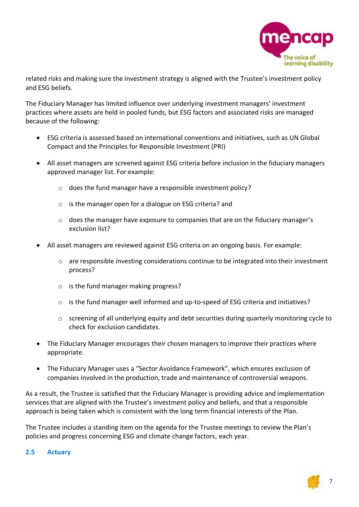

related risks and making sure the investment strategy is aligned with the Trustee's investment policy and ESG beliefs.

The Fiduciary Manager has limited influence over underlying investment managers' investment practices where assets are held in pooled funds, but ESG factors and associated risks are managed because of the following:

- ESG criteria is assessed based on international conventions and initiatives, such as UN Global Compact and the Principles for Responsible Investment (PRI)
- All asset managers are screened against ESG criteria before inclusion in the fiduciary managers approved manager list. For example:
	- o does the fund manager have a responsible investment policy?
	- o is the manager open for a dialogue on ESG criteria? and
	- $\circ$  does the manager have exposure to companies that are on the fiduciary manager's exclusion list?
- All asset managers are reviewed against ESG criteria on an ongoing basis. For example:
	- $\circ$  are responsible investing considerations continue to be integrated into their investment process?
	- o is the fund manager making progress?
	- o is the fund manager well informed and up-to-speed of ESG criteria and initiatives?
	- o screening of all underlying equity and debt securities during quarterly monitoring cycle to check for exclusion candidates.
- The Fiduciary Manager encourages their chosen managers to improve their practices where appropriate.
- The Fiduciary Manager uses a "Sector Avoidance Framework", which ensures exclusion of companies involved in the production, trade and maintenance of controversial weapons.

As a result, the Trustee is satisfied that the Fiduciary Manager is providing advice and implementation services that are aligned with the Trustee's investment policy and beliefs, and that a responsible approach is being taken which is consistent with the long term financial interests of the Plan.

The Trustee includes a standing item on the agenda for the Trustee meetings to review the Plan's policies and progress concerning ESG and climate change factors, each year.

#### **2.5 Actuary**

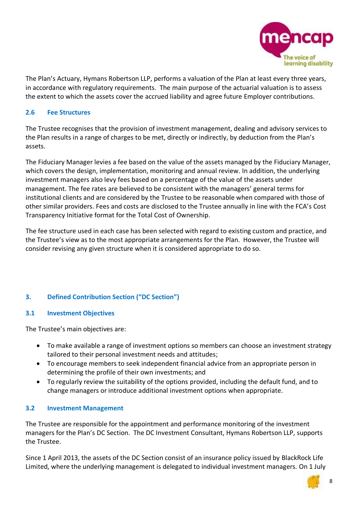

The Plan's Actuary, Hymans Robertson LLP, performs a valuation of the Plan at least every three years, in accordance with regulatory requirements. The main purpose of the actuarial valuation is to assess the extent to which the assets cover the accrued liability and agree future Employer contributions.

## **2.6 Fee Structures**

The Trustee recognises that the provision of investment management, dealing and advisory services to the Plan results in a range of charges to be met, directly or indirectly, by deduction from the Plan's assets.

The Fiduciary Manager levies a fee based on the value of the assets managed by the Fiduciary Manager, which covers the design, implementation, monitoring and annual review. In addition, the underlying investment managers also levy fees based on a percentage of the value of the assets under management. The fee rates are believed to be consistent with the managers' general terms for institutional clients and are considered by the Trustee to be reasonable when compared with those of other similar providers. Fees and costs are disclosed to the Trustee annually in line with the FCA's Cost Transparency Initiative format for the Total Cost of Ownership.

The fee structure used in each case has been selected with regard to existing custom and practice, and the Trustee's view as to the most appropriate arrangements for the Plan. However, the Trustee will consider revising any given structure when it is considered appropriate to do so.

# **3. Defined Contribution Section ("DC Section")**

#### **3.1 Investment Objectives**

The Trustee's main objectives are:

- To make available a range of investment options so members can choose an investment strategy tailored to their personal investment needs and attitudes;
- To encourage members to seek independent financial advice from an appropriate person in determining the profile of their own investments; and
- To regularly review the suitability of the options provided, including the default fund, and to change managers or introduce additional investment options when appropriate.

# **3.2 Investment Management**

The Trustee are responsible for the appointment and performance monitoring of the investment managers for the Plan's DC Section. The DC Investment Consultant, Hymans Robertson LLP, supports the Trustee.

Since 1 April 2013, the assets of the DC Section consist of an insurance policy issued by BlackRock Life Limited, where the underlying management is delegated to individual investment managers. On 1 July

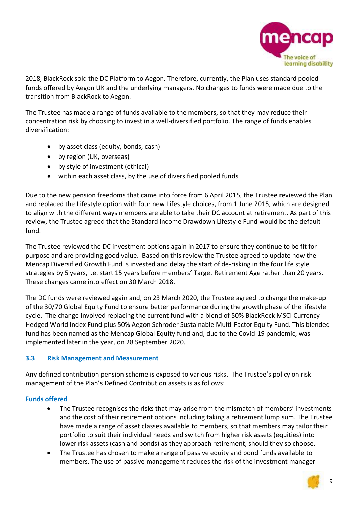

2018, BlackRock sold the DC Platform to Aegon. Therefore, currently, the Plan uses standard pooled funds offered by Aegon UK and the underlying managers. No changes to funds were made due to the transition from BlackRock to Aegon.

The Trustee has made a range of funds available to the members, so that they may reduce their concentration risk by choosing to invest in a well-diversified portfolio. The range of funds enables diversification:

- by asset class (equity, bonds, cash)
- by region (UK, overseas)
- by style of investment (ethical)
- within each asset class, by the use of diversified pooled funds

Due to the new pension freedoms that came into force from 6 April 2015, the Trustee reviewed the Plan and replaced the Lifestyle option with four new Lifestyle choices, from 1 June 2015, which are designed to align with the different ways members are able to take their DC account at retirement. As part of this review, the Trustee agreed that the Standard Income Drawdown Lifestyle Fund would be the default fund.

The Trustee reviewed the DC investment options again in 2017 to ensure they continue to be fit for purpose and are providing good value. Based on this review the Trustee agreed to update how the Mencap Diversified Growth Fund is invested and delay the start of de-risking in the four life style strategies by 5 years, i.e. start 15 years before members' Target Retirement Age rather than 20 years. These changes came into effect on 30 March 2018.

The DC funds were reviewed again and, on 23 March 2020, the Trustee agreed to change the make-up of the 30/70 Global Equity Fund to ensure better performance during the growth phase of the lifestyle cycle. The change involved replacing the current fund with a blend of 50% BlackRock MSCI Currency Hedged World Index Fund plus 50% Aegon Schroder Sustainable Multi-Factor Equity Fund. This blended fund has been named as the Mencap Global Equity fund and, due to the Covid-19 pandemic, was implemented later in the year, on 28 September 2020.

# **3.3 Risk Management and Measurement**

Any defined contribution pension scheme is exposed to various risks. The Trustee's policy on risk management of the Plan's Defined Contribution assets is as follows:

# **Funds offered**

- The Trustee recognises the risks that may arise from the mismatch of members' investments and the cost of their retirement options including taking a retirement lump sum. The Trustee have made a range of asset classes available to members, so that members may tailor their portfolio to suit their individual needs and switch from higher risk assets (equities) into lower risk assets (cash and bonds) as they approach retirement, should they so choose.
- The Trustee has chosen to make a range of passive equity and bond funds available to members. The use of passive management reduces the risk of the investment manager

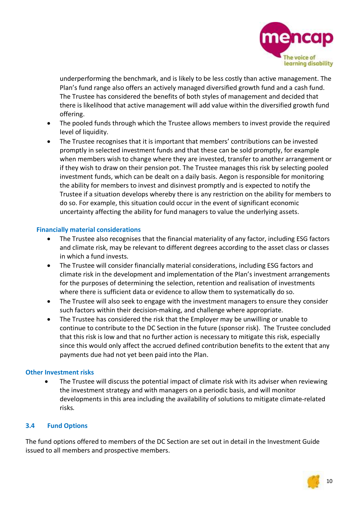

underperforming the benchmark, and is likely to be less costly than active management. The Plan's fund range also offers an actively managed diversified growth fund and a cash fund. The Trustee has considered the benefits of both styles of management and decided that there is likelihood that active management will add value within the diversified growth fund offering.

- The pooled funds through which the Trustee allows members to invest provide the required level of liquidity.
- The Trustee recognises that it is important that members' contributions can be invested promptly in selected investment funds and that these can be sold promptly, for example when members wish to change where they are invested, transfer to another arrangement or if they wish to draw on their pension pot. The Trustee manages this risk by selecting pooled investment funds, which can be dealt on a daily basis. Aegon is responsible for monitoring the ability for members to invest and disinvest promptly and is expected to notify the Trustee if a situation develops whereby there is any restriction on the ability for members to do so. For example, this situation could occur in the event of significant economic uncertainty affecting the ability for fund managers to value the underlying assets.

## **Financially material considerations**

- The Trustee also recognises that the financial materiality of any factor, including ESG factors and climate risk, may be relevant to different degrees according to the asset class or classes in which a fund invests.
- The Trustee will consider financially material considerations, including ESG factors and climate risk in the development and implementation of the Plan's investment arrangements for the purposes of determining the selection, retention and realisation of investments where there is sufficient data or evidence to allow them to systematically do so.
- The Trustee will also seek to engage with the investment managers to ensure they consider such factors within their decision-making, and challenge where appropriate.
- The Trustee has considered the risk that the Employer may be unwilling or unable to continue to contribute to the DC Section in the future (sponsor risk). The Trustee concluded that this risk is low and that no further action is necessary to mitigate this risk, especially since this would only affect the accrued defined contribution benefits to the extent that any payments due had not yet been paid into the Plan.

#### **Other Investment risks**

• The Trustee will discuss the potential impact of climate risk with its adviser when reviewing the investment strategy and with managers on a periodic basis, and will monitor developments in this area including the availability of solutions to mitigate climate-related risks*.* 

# **3.4 Fund Options**

The fund options offered to members of the DC Section are set out in detail in the Investment Guide issued to all members and prospective members.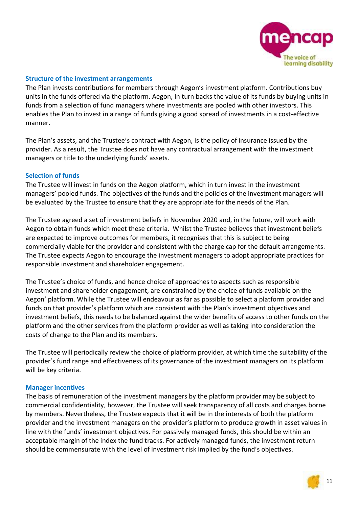

#### **Structure of the investment arrangements**

The Plan invests contributions for members through Aegon's investment platform. Contributions buy units in the funds offered via the platform. Aegon, in turn backs the value of its funds by buying units in funds from a selection of fund managers where investments are pooled with other investors. This enables the Plan to invest in a range of funds giving a good spread of investments in a cost-effective manner.

The Plan's assets, and the Trustee's contract with Aegon, is the policy of insurance issued by the provider. As a result, the Trustee does not have any contractual arrangement with the investment managers or title to the underlying funds' assets.

#### **Selection of funds**

The Trustee will invest in funds on the Aegon platform, which in turn invest in the investment managers' pooled funds. The objectives of the funds and the policies of the investment managers will be evaluated by the Trustee to ensure that they are appropriate for the needs of the Plan.

The Trustee agreed a set of investment beliefs in November 2020 and, in the future, will work with Aegon to obtain funds which meet these criteria. Whilst the Trustee believes that investment beliefs are expected to improve outcomes for members, it recognises that this is subject to being commercially viable for the provider and consistent with the charge cap for the default arrangements. The Trustee expects Aegon to encourage the investment managers to adopt appropriate practices for responsible investment and shareholder engagement.

The Trustee's choice of funds, and hence choice of approaches to aspects such as responsible investment and shareholder engagement, are constrained by the choice of funds available on the Aegon' platform. While the Trustee will endeavour as far as possible to select a platform provider and funds on that provider's platform which are consistent with the Plan's investment objectives and investment beliefs, this needs to be balanced against the wider benefits of access to other funds on the platform and the other services from the platform provider as well as taking into consideration the costs of change to the Plan and its members.

The Trustee will periodically review the choice of platform provider, at which time the suitability of the provider's fund range and effectiveness of its governance of the investment managers on its platform will be key criteria.

#### **Manager incentives**

The basis of remuneration of the investment managers by the platform provider may be subject to commercial confidentiality, however, the Trustee will seek transparency of all costs and charges borne by members. Nevertheless, the Trustee expects that it will be in the interests of both the platform provider and the investment managers on the provider's platform to produce growth in asset values in line with the funds' investment objectives. For passively managed funds, this should be within an acceptable margin of the index the fund tracks. For actively managed funds, the investment return should be commensurate with the level of investment risk implied by the fund's objectives.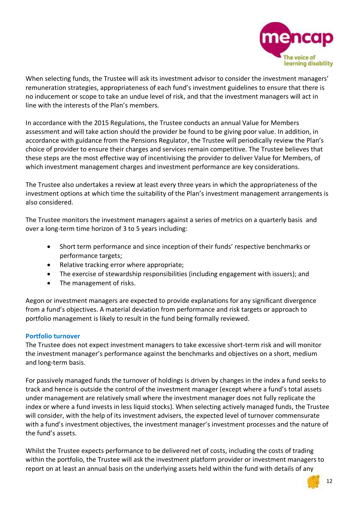

When selecting funds, the Trustee will ask its investment advisor to consider the investment managers' remuneration strategies, appropriateness of each fund's investment guidelines to ensure that there is no inducement or scope to take an undue level of risk, and that the investment managers will act in line with the interests of the Plan's members.

In accordance with the 2015 Regulations, the Trustee conducts an annual Value for Members assessment and will take action should the provider be found to be giving poor value. In addition, in accordance with guidance from the Pensions Regulator, the Trustee will periodically review the Plan's choice of provider to ensure their charges and services remain competitive. The Trustee believes that these steps are the most effective way of incentivising the provider to deliver Value for Members, of which investment management charges and investment performance are key considerations.

The Trustee also undertakes a review at least every three years in which the appropriateness of the investment options at which time the suitability of the Plan's investment management arrangements is also considered.

The Trustee monitors the investment managers against a series of metrics on a quarterly basis and over a long-term time horizon of 3 to 5 years including:

- Short term performance and since inception of their funds' respective benchmarks or performance targets;
- Relative tracking error where appropriate;
- The exercise of stewardship responsibilities (including engagement with issuers); and
- The management of risks.

Aegon or investment managers are expected to provide explanations for any significant divergence from a fund's objectives. A material deviation from performance and risk targets or approach to portfolio management is likely to result in the fund being formally reviewed.

# **Portfolio turnover**

The Trustee does not expect investment managers to take excessive short-term risk and will monitor the investment manager's performance against the benchmarks and objectives on a short, medium and long-term basis.

For passively managed funds the turnover of holdings is driven by changes in the index a fund seeks to track and hence is outside the control of the investment manager (except where a fund's total assets under management are relatively small where the investment manager does not fully replicate the index or where a fund invests in less liquid stocks). When selecting actively managed funds, the Trustee will consider, with the help of its investment advisers, the expected level of turnover commensurate with a fund's investment objectives, the investment manager's investment processes and the nature of the fund's assets.

Whilst the Trustee expects performance to be delivered net of costs, including the costs of trading within the portfolio, the Trustee will ask the investment platform provider or investment managers to report on at least an annual basis on the underlying assets held within the fund with details of any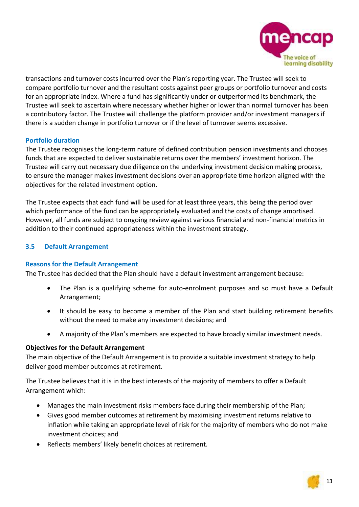

transactions and turnover costs incurred over the Plan's reporting year. The Trustee will seek to compare portfolio turnover and the resultant costs against peer groups or portfolio turnover and costs for an appropriate index. Where a fund has significantly under or outperformed its benchmark, the Trustee will seek to ascertain where necessary whether higher or lower than normal turnover has been a contributory factor. The Trustee will challenge the platform provider and/or investment managers if there is a sudden change in portfolio turnover or if the level of turnover seems excessive.

## **Portfolio duration**

The Trustee recognises the long-term nature of defined contribution pension investments and chooses funds that are expected to deliver sustainable returns over the members' investment horizon. The Trustee will carry out necessary due diligence on the underlying investment decision making process, to ensure the manager makes investment decisions over an appropriate time horizon aligned with the objectives for the related investment option.

The Trustee expects that each fund will be used for at least three years, this being the period over which performance of the fund can be appropriately evaluated and the costs of change amortised. However, all funds are subject to ongoing review against various financial and non-financial metrics in addition to their continued appropriateness within the investment strategy.

# **3.5 Default Arrangement**

#### **Reasons for the Default Arrangement**

The Trustee has decided that the Plan should have a default investment arrangement because:

- The Plan is a qualifying scheme for auto-enrolment purposes and so must have a Default Arrangement;
- It should be easy to become a member of the Plan and start building retirement benefits without the need to make any investment decisions; and
- A majority of the Plan's members are expected to have broadly similar investment needs.

# **Objectives for the Default Arrangement**

The main objective of the Default Arrangement is to provide a suitable investment strategy to help deliver good member outcomes at retirement.

The Trustee believes that it is in the best interests of the majority of members to offer a Default Arrangement which:

- Manages the main investment risks members face during their membership of the Plan;
- Gives good member outcomes at retirement by maximising investment returns relative to inflation while taking an appropriate level of risk for the majority of members who do not make investment choices; and
- Reflects members' likely benefit choices at retirement.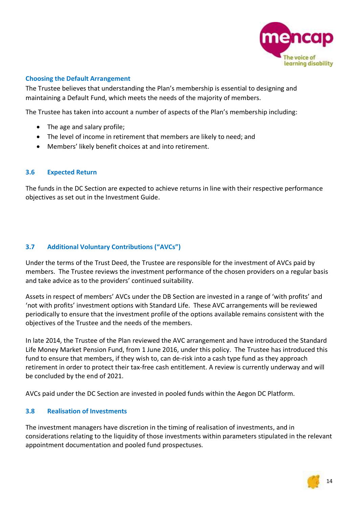

# **Choosing the Default Arrangement**

The Trustee believes that understanding the Plan's membership is essential to designing and maintaining a Default Fund, which meets the needs of the majority of members.

The Trustee has taken into account a number of aspects of the Plan's membership including:

- The age and salary profile;
- The level of income in retirement that members are likely to need; and
- Members' likely benefit choices at and into retirement.

#### **3.6 Expected Return**

The funds in the DC Section are expected to achieve returns in line with their respective performance objectives as set out in the Investment Guide.

# **3.7 Additional Voluntary Contributions ("AVCs")**

Under the terms of the Trust Deed, the Trustee are responsible for the investment of AVCs paid by members. The Trustee reviews the investment performance of the chosen providers on a regular basis and take advice as to the providers' continued suitability.

Assets in respect of members' AVCs under the DB Section are invested in a range of 'with profits' and 'not with profits' investment options with Standard Life. These AVC arrangements will be reviewed periodically to ensure that the investment profile of the options available remains consistent with the objectives of the Trustee and the needs of the members.

In late 2014, the Trustee of the Plan reviewed the AVC arrangement and have introduced the Standard Life Money Market Pension Fund, from 1 June 2016, under this policy. The Trustee has introduced this fund to ensure that members, if they wish to, can de-risk into a cash type fund as they approach retirement in order to protect their tax-free cash entitlement. A review is currently underway and will be concluded by the end of 2021.

AVCs paid under the DC Section are invested in pooled funds within the Aegon DC Platform.

# **3.8 Realisation of Investments**

The investment managers have discretion in the timing of realisation of investments, and in considerations relating to the liquidity of those investments within parameters stipulated in the relevant appointment documentation and pooled fund prospectuses.

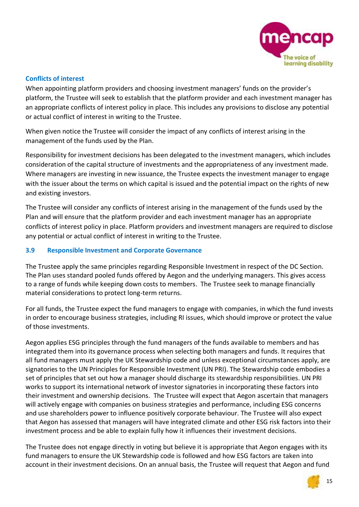

# **Conflicts of interest**

When appointing platform providers and choosing investment managers' funds on the provider's platform, the Trustee will seek to establish that the platform provider and each investment manager has an appropriate conflicts of interest policy in place. This includes any provisions to disclose any potential or actual conflict of interest in writing to the Trustee.

When given notice the Trustee will consider the impact of any conflicts of interest arising in the management of the funds used by the Plan.

Responsibility for investment decisions has been delegated to the investment managers, which includes consideration of the capital structure of investments and the appropriateness of any investment made. Where managers are investing in new issuance, the Trustee expects the investment manager to engage with the issuer about the terms on which capital is issued and the potential impact on the rights of new and existing investors.

The Trustee will consider any conflicts of interest arising in the management of the funds used by the Plan and will ensure that the platform provider and each investment manager has an appropriate conflicts of interest policy in place. Platform providers and investment managers are required to disclose any potential or actual conflict of interest in writing to the Trustee.

## **3.9 Responsible Investment and Corporate Governance**

The Trustee apply the same principles regarding Responsible Investment in respect of the DC Section. The Plan uses standard pooled funds offered by Aegon and the underlying managers. This gives access to a range of funds while keeping down costs to members. The Trustee seek to manage financially material considerations to protect long-term returns.

For all funds, the Trustee expect the fund managers to engage with companies, in which the fund invests in order to encourage business strategies, including RI issues, which should improve or protect the value of those investments.

Aegon applies ESG principles through the fund managers of the funds available to members and has integrated them into its governance process when selecting both managers and funds. It requires that all fund managers must apply the UK Stewardship code and unless exceptional circumstances apply, are signatories to the UN Principles for Responsible Investment (UN PRI). The Stewardship code embodies a set of principles that set out how a manager should discharge its stewardship responsibilities. UN PRI works to support its international network of investor signatories in incorporating these factors into their investment and ownership decisions. The Trustee will expect that Aegon ascertain that managers will actively engage with companies on business strategies and performance, including ESG concerns and use shareholders power to influence positively corporate behaviour. The Trustee will also expect that Aegon has assessed that managers will have integrated climate and other ESG risk factors into their investment process and be able to explain fully how it influences their investment decisions.

The Trustee does not engage directly in voting but believe it is appropriate that Aegon engages with its fund managers to ensure the UK Stewardship code is followed and how ESG factors are taken into account in their investment decisions. On an annual basis, the Trustee will request that Aegon and fund

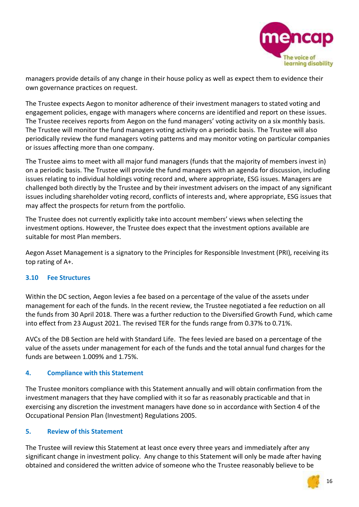

managers provide details of any change in their house policy as well as expect them to evidence their own governance practices on request.

The Trustee expects Aegon to monitor adherence of their investment managers to stated voting and engagement policies, engage with managers where concerns are identified and report on these issues. The Trustee receives reports from Aegon on the fund managers' voting activity on a six monthly basis. The Trustee will monitor the fund managers voting activity on a periodic basis. The Trustee will also periodically review the fund managers voting patterns and may monitor voting on particular companies or issues affecting more than one company.

The Trustee aims to meet with all major fund managers (funds that the majority of members invest in) on a periodic basis. The Trustee will provide the fund managers with an agenda for discussion, including issues relating to individual holdings voting record and, where appropriate, ESG issues. Managers are challenged both directly by the Trustee and by their investment advisers on the impact of any significant issues including shareholder voting record, conflicts of interests and, where appropriate, ESG issues that may affect the prospects for return from the portfolio.

The Trustee does not currently explicitly take into account members' views when selecting the investment options. However, the Trustee does expect that the investment options available are suitable for most Plan members.

Aegon Asset Management is a signatory to the Principles for Responsible Investment (PRI), receiving its top rating of A+.

#### **3.10 Fee Structures**

Within the DC section, Aegon levies a fee based on a percentage of the value of the assets under management for each of the funds. In the recent review, the Trustee negotiated a fee reduction on all the funds from 30 April 2018. There was a further reduction to the Diversified Growth Fund, which came into effect from 23 August 2021. The revised TER for the funds range from 0.37% to 0.71%.

AVCs of the DB Section are held with Standard Life. The fees levied are based on a percentage of the value of the assets under management for each of the funds and the total annual fund charges for the funds are between 1.009% and 1.75%.

#### **4. Compliance with this Statement**

The Trustee monitors compliance with this Statement annually and will obtain confirmation from the investment managers that they have complied with it so far as reasonably practicable and that in exercising any discretion the investment managers have done so in accordance with Section 4 of the Occupational Pension Plan (Investment) Regulations 2005.

#### **5. Review of this Statement**

The Trustee will review this Statement at least once every three years and immediately after any significant change in investment policy. Any change to this Statement will only be made after having obtained and considered the written advice of someone who the Trustee reasonably believe to be